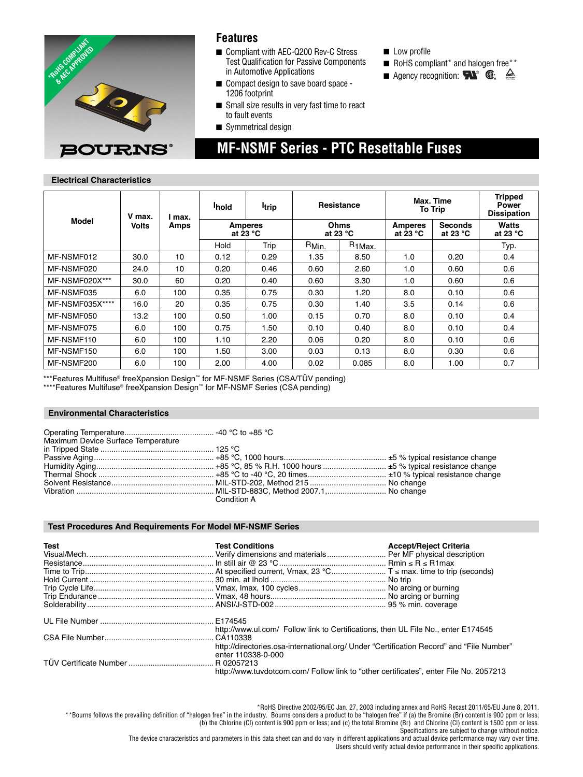

### **Features**

- Compliant with AEC-Q200 Rev-C Stress Test Qualification for Passive Components in Automotive Applications
- Compact design to save board space -1206 footprint
- Small size results in very fast time to react to fault events

 **MF-NSMF Series - PTC Resettable Fuses**

■ Symmetrical design

### ■ Low profile

- RoHS compliant\* and halogen free\*\*
- **Agency recognition:**  $\mathbf{N}^{\circ}$   $\mathbf{\mathbf{\mathbb{C}}}$ .  $\triangleq$

**Electrical Characteristics**

| <b>Model</b>    | V max.<br><b>Volts</b> | max.<br>Amps | <b>I</b> hold                        | <b>I</b> trip | <b>Resistance</b>          |                    | Max. Time<br><b>To Trip</b>  |                                      | <b>Tripped</b><br><b>Power</b><br><b>Dissipation</b> |
|-----------------|------------------------|--------------|--------------------------------------|---------------|----------------------------|--------------------|------------------------------|--------------------------------------|------------------------------------------------------|
|                 |                        |              | <b>Amperes</b><br>at 23 $^{\circ}$ C |               | Ohms<br>at 23 $^{\circ}$ C |                    | <b>Amperes</b><br>at 23 $°C$ | <b>Seconds</b><br>at 23 $^{\circ}$ C | Watts<br>at 23 $^{\circ}$ C                          |
|                 |                        |              | Hold                                 | Trip          | R <sub>Min.</sub>          | R <sub>1Max.</sub> |                              |                                      | Typ.                                                 |
| MF-NSMF012      | 30.0                   | 10           | 0.12                                 | 0.29          | 1.35                       | 8.50               | 1.0                          | 0.20                                 | 0.4                                                  |
| MF-NSMF020      | 24.0                   | 10           | 0.20                                 | 0.46          | 0.60                       | 2.60               | 1.0                          | 0.60                                 | 0.6                                                  |
| MF-NSMF020X***  | 30.0                   | 60           | 0.20                                 | 0.40          | 0.60                       | 3.30               | 1.0                          | 0.60                                 | 0.6                                                  |
| MF-NSMF035      | 6.0                    | 100          | 0.35                                 | 0.75          | 0.30                       | 1.20               | 8.0                          | 0.10                                 | 0.6                                                  |
| MF-NSMF035X**** | 16.0                   | 20           | 0.35                                 | 0.75          | 0.30                       | 1.40               | 3.5                          | 0.14                                 | 0.6                                                  |
| MF-NSMF050      | 13.2                   | 100          | 0.50                                 | 1.00          | 0.15                       | 0.70               | 8.0                          | 0.10                                 | 0.4                                                  |
| MF-NSMF075      | 6.0                    | 100          | 0.75                                 | 1.50          | 0.10                       | 0.40               | 8.0                          | 0.10                                 | 0.4                                                  |
| MF-NSMF110      | 6.0                    | 100          | 1.10                                 | 2.20          | 0.06                       | 0.20               | 8.0                          | 0.10                                 | 0.6                                                  |
| MF-NSMF150      | 6.0                    | 100          | 1.50                                 | 3.00          | 0.03                       | 0.13               | 8.0                          | 0.30                                 | 0.6                                                  |
| MF-NSMF200      | 6.0                    | 100          | 2.00                                 | 4.00          | 0.02                       | 0.085              | 8.0                          | 1.00                                 | 0.7                                                  |

\*\*\*Features Multifuse® freeXpansion Design™ for MF-NSMF Series (CSA/TÜV pending)

\*\*\*\*Features Multifuse® freeXpansion Design™ for MF-NSMF Series (CSA pending)

### **Environmental Characteristics**

| Maximum Device Surface Temperature |             |  |
|------------------------------------|-------------|--|
|                                    |             |  |
|                                    |             |  |
|                                    |             |  |
|                                    |             |  |
|                                    |             |  |
|                                    |             |  |
|                                    | Condition A |  |

#### **Test Procedures And Requirements For Model MF-NSMF Series**

| <b>Test</b> | <b>Test Conditions</b>                                                                                                                                                                                  | <b>Accept/Reject Criteria</b> |  |  |
|-------------|---------------------------------------------------------------------------------------------------------------------------------------------------------------------------------------------------------|-------------------------------|--|--|
|             |                                                                                                                                                                                                         |                               |  |  |
|             |                                                                                                                                                                                                         |                               |  |  |
|             |                                                                                                                                                                                                         |                               |  |  |
|             |                                                                                                                                                                                                         |                               |  |  |
|             |                                                                                                                                                                                                         |                               |  |  |
|             |                                                                                                                                                                                                         |                               |  |  |
|             | http://www.ul.com/ Follow link to Certifications, then UL File No., enter E174545                                                                                                                       |                               |  |  |
|             | http://directories.csa-international.org/ Under "Certification Record" and "File Number"<br>enter 110338-0-000<br>http://www.tuvdotcom.com/ Follow link to "other certificates", enter File No. 2057213 |                               |  |  |

\*RoHS Directive 2002/95/EC Jan. 27, 2003 including annex and RoHS Recast 2011/65/EU June 8, 2011. \*\*Bourns follows the prevailing definition of "halogen free" in the industry. Bourns considers a product to be "halogen free" if (a) the Bromine (Br) content is 900 ppm or less; (b) the Chlorine (Cl) content is 900 ppm or less; and (c) the total Bromine (Br) and Chlorine (Cl) content is 1500 ppm or less. Specifications are subject to change without notice.

The device characteristics and parameters in this data sheet can and do vary in different applications and actual device performance may vary over time. Users should verify actual device performance in their specific applications.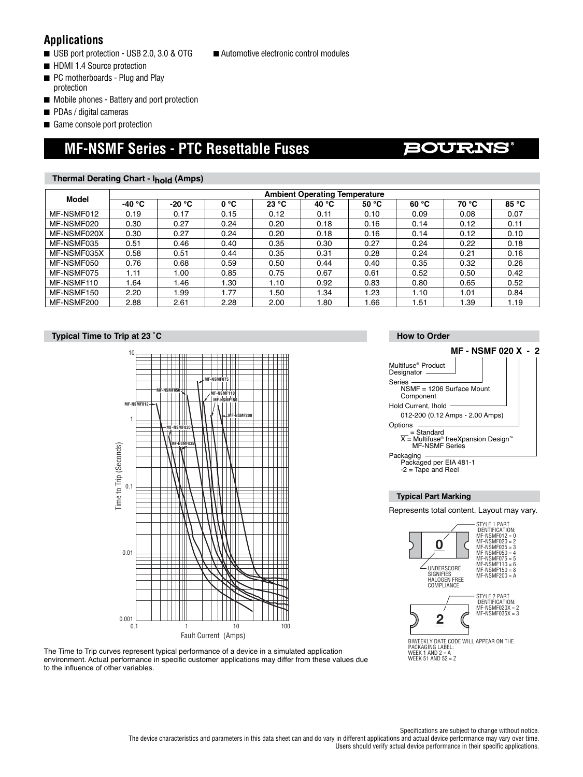### **Applications**

- USB port protection USB 2.0, 3.0 & OTG
- HDMI 1.4 Source protection
- PC motherboards Plug and Play protection
- Mobile phones Battery and port protection
- PDAs / digital cameras
- Game console port protection

# **MF-NSMF Series - PTC Resettable Fuses**

### **Thermal Derating Chart - Ihold (Amps)**

| Model       | <b>Ambient Operating Temperature</b> |          |      |                |      |       |       |       |       |  |
|-------------|--------------------------------------|----------|------|----------------|------|-------|-------|-------|-------|--|
|             | -40 °C                               | $-20 °C$ | 0 °C | 23 °C<br>40 °C |      | 50 °C | 60 °C | 70 °C | 85 °C |  |
| MF-NSMF012  | 0.19                                 | 0.17     | 0.15 | 0.12           | 0.11 | 0.10  | 0.09  | 0.08  | 0.07  |  |
| MF-NSMF020  | 0.30                                 | 0.27     | 0.24 | 0.20           | 0.18 | 0.16  | 0.14  | 0.12  | 0.11  |  |
| MF-NSMF020X | 0.30                                 | 0.27     | 0.24 | 0.20           | 0.18 | 0.16  | 0.14  | 0.12  | 0.10  |  |
| MF-NSMF035  | 0.51                                 | 0.46     | 0.40 | 0.35           | 0.30 | 0.27  | 0.24  | 0.22  | 0.18  |  |
| MF-NSMF035X | 0.58                                 | 0.51     | 0.44 | 0.35           | 0.31 | 0.28  | 0.24  | 0.21  | 0.16  |  |
| MF-NSMF050  | 0.76                                 | 0.68     | 0.59 | 0.50           | 0.44 | 0.40  | 0.35  | 0.32  | 0.26  |  |
| MF-NSMF075  | 1.11                                 | 1.00     | 0.85 | 0.75           | 0.67 | 0.61  | 0.52  | 0.50  | 0.42  |  |
| MF-NSMF110  | l.64                                 | 1.46     | 1.30 | 1.10           | 0.92 | 0.83  | 0.80  | 0.65  | 0.52  |  |
| MF-NSMF150  | 2.20                                 | 1.99     | .77  | .50            | 1.34 | 1.23  | 1.10  | 1.01  | 0.84  |  |
| MF-NSMF200  | 2.88                                 | 2.61     | 2.28 | 2.00           | ، 80 | 1.66  | 1.51  | 1.39  | 1.19  |  |

### **Typical Time to Trip at 23 ˚C**





#### **How to Order**

**BOURNS** 



#### **Typical Part Marking**

Represents total content. Layout may vary.



■ Automotive electronic control modules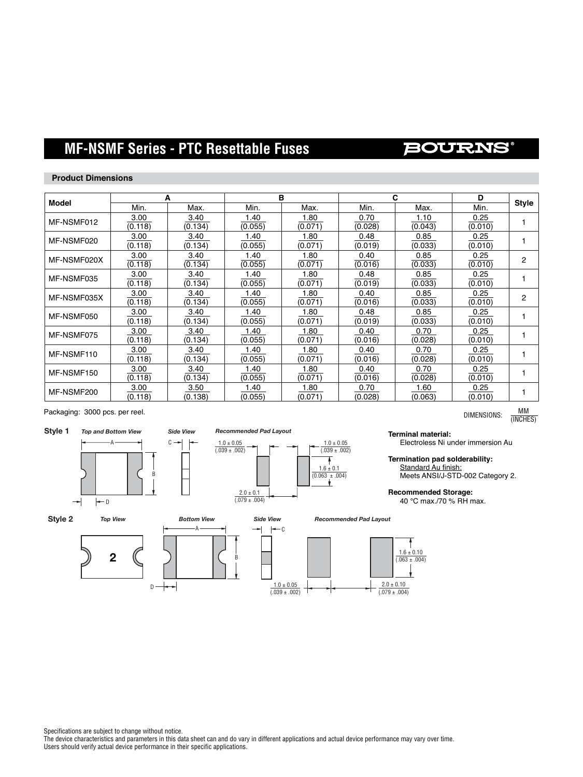# **MF-NSMF Series - PTC Resettable Fuses**

## **BOURNS**

### **Product Dimensions**

|              |                 | A               |                 | B               |                 | С               | D               |              |
|--------------|-----------------|-----------------|-----------------|-----------------|-----------------|-----------------|-----------------|--------------|
| <b>Model</b> | Min.            | Max.            | Min.            | Max.            | Min.            | Max.            | Min.            | <b>Style</b> |
| MF-NSMF012   | 3.00<br>(0.118) | 3.40<br>(0.134) | 1.40<br>(0.055) | 1.80<br>(0.071) | 0.70<br>(0.028) | 1.10<br>(0.043) | 0.25<br>(0.010) |              |
| MF-NSMF020   | 3.00<br>(0.118) | 3.40<br>(0.134) | 1.40<br>(0.055) | 1.80<br>(0.071) | 0.48<br>(0.019) | 0.85<br>(0.033) | 0.25<br>(0.010) |              |
| MF-NSMF020X  | 3.00<br>(0.118) | 3.40<br>(0.134) | 1.40<br>(0.055) | 1.80<br>(0.071) | 0.40<br>(0.016) | 0.85<br>(0.033) | 0.25<br>(0.010) | 2            |
| MF-NSMF035   | 3.00<br>(0.118) | 3.40<br>(0.134) | 1.40<br>(0.055) | 1.80<br>(0.071) | 0.48<br>(0.019) | 0.85<br>(0.033) | 0.25<br>(0.010) |              |
| MF-NSMF035X  | 3.00<br>(0.118) | 3.40<br>(0.134) | 1.40<br>(0.055) | 1.80<br>(0.071) | 0.40<br>(0.016) | 0.85<br>(0.033) | 0.25<br>(0.010) | 2            |
| MF-NSMF050   | 3.00<br>(0.118) | 3.40<br>(0.134) | 1.40<br>(0.055) | 1.80<br>(0.071) | 0.48<br>(0.019) | 0.85<br>(0.033) | 0.25<br>(0.010) |              |
| MF-NSMF075   | 3.00<br>(0.118) | 3.40<br>(0.134) | 1.40<br>(0.055) | 1.80<br>(0.071) | 0.40<br>(0.016) | 0.70<br>(0.028) | 0.25<br>(0.010) |              |
| MF-NSMF110   | 3.00<br>(0.118) | 3.40<br>(0.134) | 1.40<br>(0.055) | 1.80<br>(0.071) | 0.40<br>(0.016) | 0.70<br>(0.028) | 0.25<br>(0.010) |              |
| MF-NSMF150   | 3.00<br>(0.118) | 3.40<br>(0.134) | 1.40<br>(0.055) | 1.80<br>(0.071) | 0.40<br>(0.016) | 0.70<br>(0.028) | 0.25<br>(0.010) |              |
| MF-NSMF200   | 3.00<br>(0.118) | 3.50<br>(0.138) | 1.40<br>(0.055) | 1.80<br>(0.071) | 0.70<br>(0.028) | 1.60<br>(0.063) | 0.25<br>(0.010) |              |

Packaging: 3000 pcs. per reel.



 $\rightarrow$ 

A

 $\leftarrow$  D

B

 $\mathbb{C}$ 

⊣



DIMENSIONS:  $\frac{MM}{MNCUT}$ (INCHES)

**Terminal material:** Electroless Ni under immersion Au

**Termination pad solderability:** Standard Au finish: Meets ANSI/J-STD-002 Category 2.

**Recommended Storage:** 40 °C max./70 % RH max.



Specifications are subject to change without notice.

The device characteristics and parameters in this data sheet can and do vary in different applications and actual device performance may vary over time. Users should verify actual device performance in their specific applications.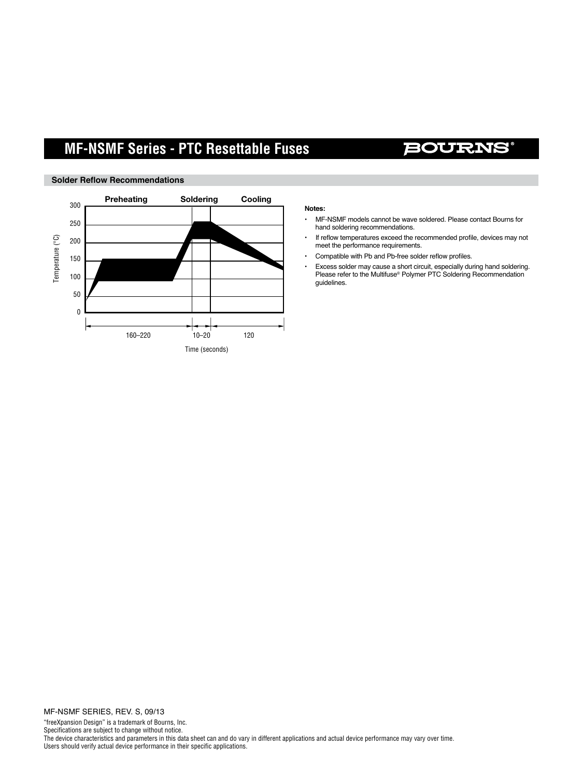# **MF-NSMF Series - PTC Resettable Fuses**

## **BOURNS**



### **Solder Reflow Recommendations**

#### **Notes:**

- MF-NSMF models cannot be wave soldered. Please contact Bourns for hand soldering recommendations.
- If reflow temperatures exceed the recommended profile, devices may not meet the performance requirements.
- Compatible with Pb and Pb-free solder reflow profiles.
- Excess solder may cause a short circuit, especially during hand soldering. Please refer to the Multifuse<sup>®</sup> Polymer PTC Soldering Recommendation guidelines.